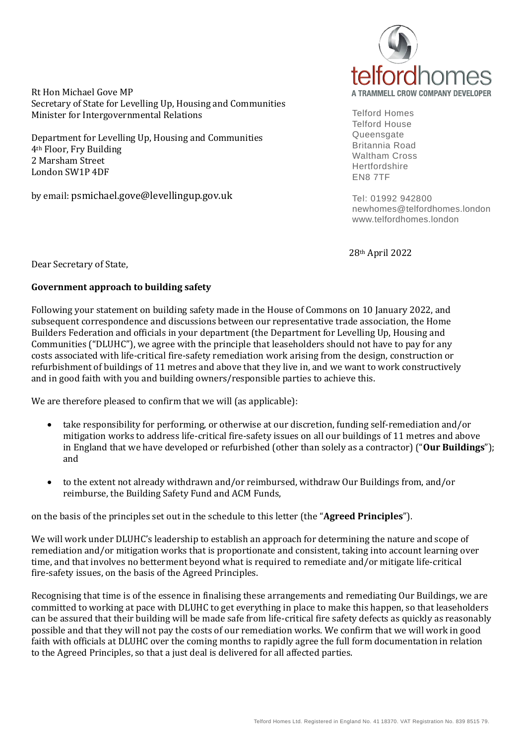Rt Hon Michael Gove MP Secretary of State for Levelling Up, Housing and Communities Minister for Intergovernmental Relations

Department for Levelling Up, Housing and Communities 4th Floor, Fry Building 2 Marsham Street London SW1P 4DF

by email: psmichael.gove@levellingup.gov.uk



Telford Homes Telford House Queensgate Britannia Road Waltham Cross **Hertfordshire** EN8 7TF

Tel: 01992 942800 newhomes@telfordhomes.london www.telfordhomes.london

28th April 2022

Dear Secretary of State,

## **Government approach to building safety**

Following your statement on building safety made in the House of Commons on 10 January 2022, and subsequent correspondence and discussions between our representative trade association, the Home Builders Federation and officials in your department (the Department for Levelling Up, Housing and Communities ("DLUHC"), we agree with the principle that leaseholders should not have to pay for any costs associated with life-critical fire-safety remediation work arising from the design, construction or refurbishment of buildings of 11 metres and above that they live in, and we want to work constructively and in good faith with you and building owners/responsible parties to achieve this.

We are therefore pleased to confirm that we will (as applicable):

- take responsibility for performing, or otherwise at our discretion, funding self-remediation and/or mitigation works to address life-critical fire-safety issues on all our buildings of 11 metres and above in England that we have developed or refurbished (other than solely as a contractor) ("**Our Buildings**"); and
- to the extent not already withdrawn and/or reimbursed, withdraw Our Buildings from, and/or reimburse, the Building Safety Fund and ACM Funds,

on the basis of the principles set out in the schedule to this letter (the "**Agreed Principles**").

We will work under DLUHC's leadership to establish an approach for determining the nature and scope of remediation and/or mitigation works that is proportionate and consistent, taking into account learning over time, and that involves no betterment beyond what is required to remediate and/or mitigate life-critical fire-safety issues, on the basis of the Agreed Principles.

Recognising that time is of the essence in finalising these arrangements and remediating Our Buildings, we are committed to working at pace with DLUHC to get everything in place to make this happen, so that leaseholders can be assured that their building will be made safe from life-critical fire safety defects as quickly as reasonably possible and that they will not pay the costs of our remediation works. We confirm that we will work in good faith with officials at DLUHC over the coming months to rapidly agree the full form documentation in relation to the Agreed Principles, so that a just deal is delivered for all affected parties.